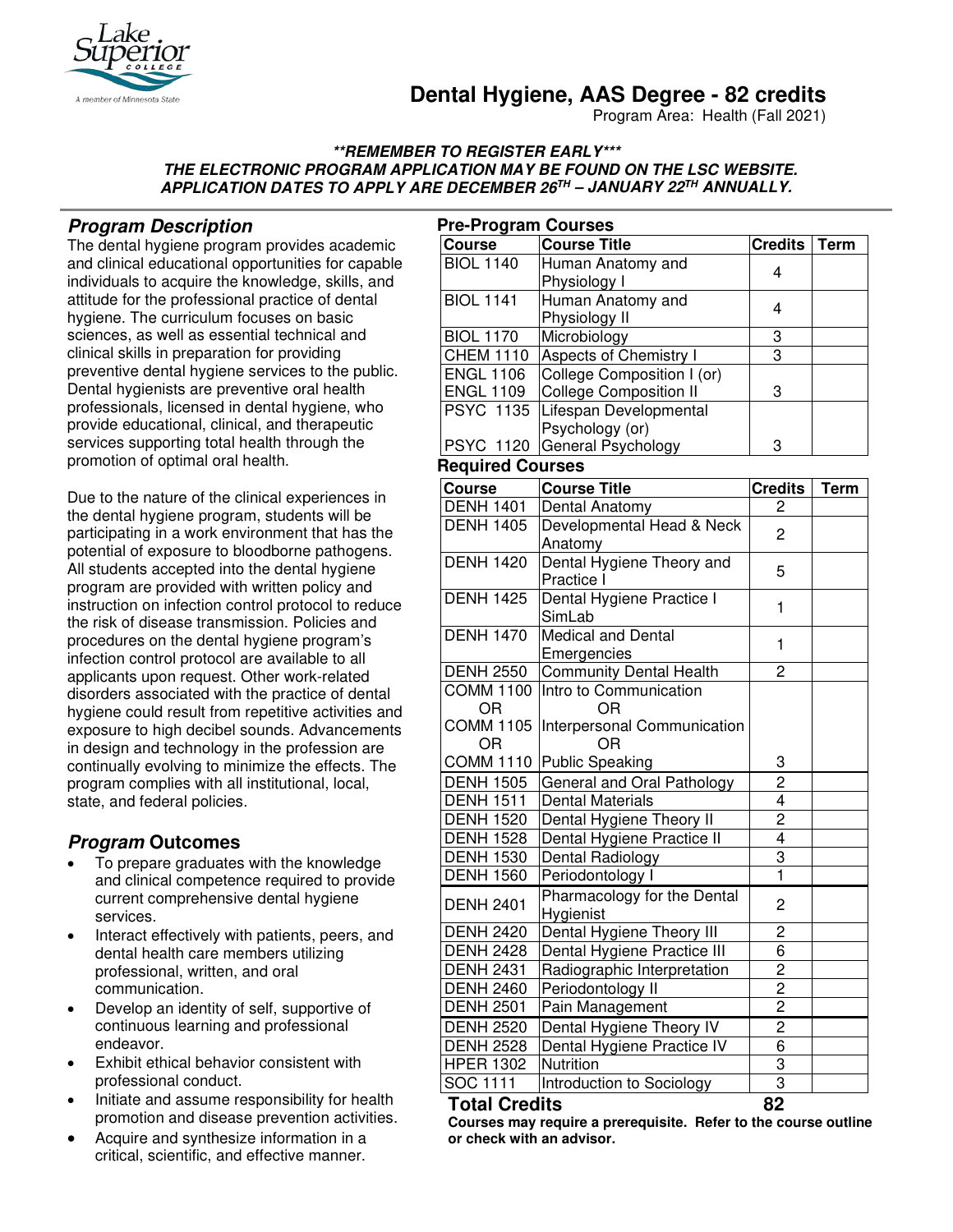

# **Dental Hygiene, AAS Degree - 82 credits**

Program Area: Health (Fall 2021)

#### **\*\*REMEMBER TO REGISTER EARLY\*\*\* THE ELECTRONIC PROGRAM APPLICATION MAY BE FOUND ON THE LSC WEBSITE. APPLICATION DATES TO APPLY ARE DECEMBER 26TH – JANUARY 22TH ANNUALLY.**

# **Program Description**

The dental hygiene program provides academic and clinical educational opportunities for capable individuals to acquire the knowledge, skills, and attitude for the professional practice of dental hygiene. The curriculum focuses on basic sciences, as well as essential technical and clinical skills in preparation for providing preventive dental hygiene services to the public. Dental hygienists are preventive oral health professionals, licensed in dental hygiene, who provide educational, clinical, and therapeutic services supporting total health through the promotion of optimal oral health.

Due to the nature of the clinical experiences in the dental hygiene program, students will be participating in a work environment that has the potential of exposure to bloodborne pathogens. All students accepted into the dental hygiene program are provided with written policy and instruction on infection control protocol to reduce the risk of disease transmission. Policies and procedures on the dental hygiene program's infection control protocol are available to all applicants upon request. Other work-related disorders associated with the practice of dental hygiene could result from repetitive activities and exposure to high decibel sounds. Advancements in design and technology in the profession are continually evolving to minimize the effects. The program complies with all institutional, local, state, and federal policies.

# **Program Outcomes**

- To prepare graduates with the knowledge and clinical competence required to provide current comprehensive dental hygiene services.
- Interact effectively with patients, peers, and dental health care members utilizing professional, written, and oral communication.
- Develop an identity of self, supportive of continuous learning and professional endeavor.
- Exhibit ethical behavior consistent with professional conduct.
- Initiate and assume responsibility for health promotion and disease prevention activities.
- Acquire and synthesize information in a critical, scientific, and effective manner.

| <b>Pre-Program Courses</b> |                                          |                |             |
|----------------------------|------------------------------------------|----------------|-------------|
| <b>Course</b>              | <b>Course Title</b>                      | <b>Credits</b> | <b>Term</b> |
| <b>BIOL 1140</b>           | Human Anatomy and<br>Physiology I        | 4              |             |
| <b>BIOL 1141</b>           | Human Anatomy and<br>Physiology II       | 4              |             |
| <b>BIOL 1170</b>           | Microbiology                             | 3              |             |
| <b>CHEM 1110</b>           | Aspects of Chemistry I                   | 3              |             |
| <b>ENGL 1106</b>           | College Composition I (or)               |                |             |
| <b>ENGL 1109</b>           | <b>College Composition II</b>            | 3              |             |
| <b>PSYC 1135</b>           | Lifespan Developmental                   |                |             |
|                            | Psychology (or)                          |                |             |
| <b>PSYC 1120</b>           | General Psychology                       | 3              |             |
| <b>Required Courses</b>    |                                          |                |             |
| <b>Course</b>              | <b>Course Title</b>                      | <b>Credits</b> | <b>Term</b> |
| <b>DENH 1401</b>           | Dental Anatomy                           | 2              |             |
| <b>DENH 1405</b>           | Developmental Head & Neck<br>Anatomy     | 2              |             |
| <b>DENH 1420</b>           | Dental Hygiene Theory and<br>Practice I  | 5              |             |
| <b>DENH 1425</b>           | Dental Hygiene Practice I<br>SimLab      | 1              |             |
| <b>DENH 1470</b>           | Medical and Dental<br>Emergencies        | 1              |             |
| <b>DENH 2550</b>           | <b>Community Dental Health</b>           | $\overline{2}$ |             |
| <b>COMM 1100</b>           | Intro to Communication                   |                |             |
| <b>OR</b>                  | OR                                       |                |             |
| <b>COMM 1105</b>           | Interpersonal Communication              |                |             |
| OR                         | OR                                       |                |             |
| <b>COMM 1110</b>           | <b>Public Speaking</b>                   | 3              |             |
| <b>DENH 1505</b>           | General and Oral Pathology               | 2              |             |
| <b>DENH 1511</b>           | <b>Dental Materials</b>                  | 4              |             |
| <b>DENH 1520</b>           | Dental Hygiene Theory II                 | $\overline{2}$ |             |
| <b>DENH 1528</b>           | Dental Hygiene Practice II               | 4              |             |
| <b>DENH 1530</b>           | Dental Radiology                         | 3              |             |
| <b>DENH 1560</b>           | Periodontology I                         | $\overline{1}$ |             |
| <b>DENH 2401</b>           | Pharmacology for the Dental<br>Hygienist | $\overline{c}$ |             |
| <b>DENH 2420</b>           | Dental Hygiene Theory III                | 2              |             |
| <b>DENH 2428</b>           | Dental Hygiene Practice III              | 6              |             |
| <b>DENH 2431</b>           | Radiographic Interpretation              | $\overline{2}$ |             |
| <b>DENH 2460</b>           | Periodontology II                        | $\overline{2}$ |             |
| <b>DENH 2501</b>           | Pain Management                          | $\overline{2}$ |             |
| <b>DENH 2520</b>           | Dental Hygiene Theory IV                 | $\overline{c}$ |             |
| <b>DENH 2528</b>           | Dental Hygiene Practice IV               | 6              |             |
| <b>HPER 1302</b>           | Nutrition                                | 3              |             |
| SOC 1111                   | Introduction to Sociology                | 3              |             |

#### **Total Credits 82**

**Courses may require a prerequisite. Refer to the course outline or check with an advisor.**